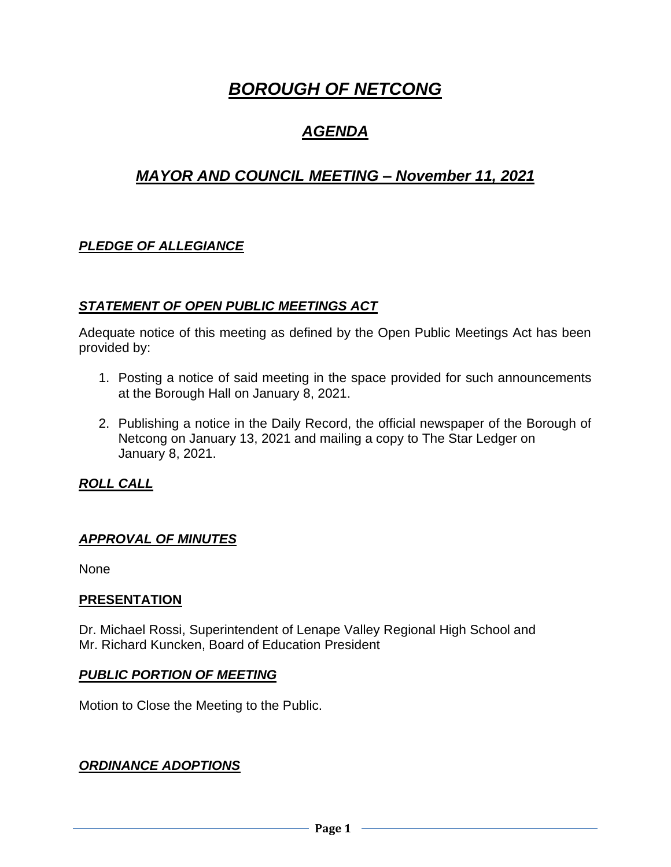# *BOROUGH OF NETCONG*

# *AGENDA*

# *MAYOR AND COUNCIL MEETING – November 11, 2021*

# *PLEDGE OF ALLEGIANCE*

## *STATEMENT OF OPEN PUBLIC MEETINGS ACT*

Adequate notice of this meeting as defined by the Open Public Meetings Act has been provided by:

- 1. Posting a notice of said meeting in the space provided for such announcements at the Borough Hall on January 8, 2021.
- 2. Publishing a notice in the Daily Record, the official newspaper of the Borough of Netcong on January 13, 2021 and mailing a copy to The Star Ledger on January 8, 2021.

*ROLL CALL*

#### *APPROVAL OF MINUTES*

None

#### **PRESENTATION**

Dr. Michael Rossi, Superintendent of Lenape Valley Regional High School and Mr. Richard Kuncken, Board of Education President

#### *PUBLIC PORTION OF MEETING*

Motion to Close the Meeting to the Public.

#### *ORDINANCE ADOPTIONS*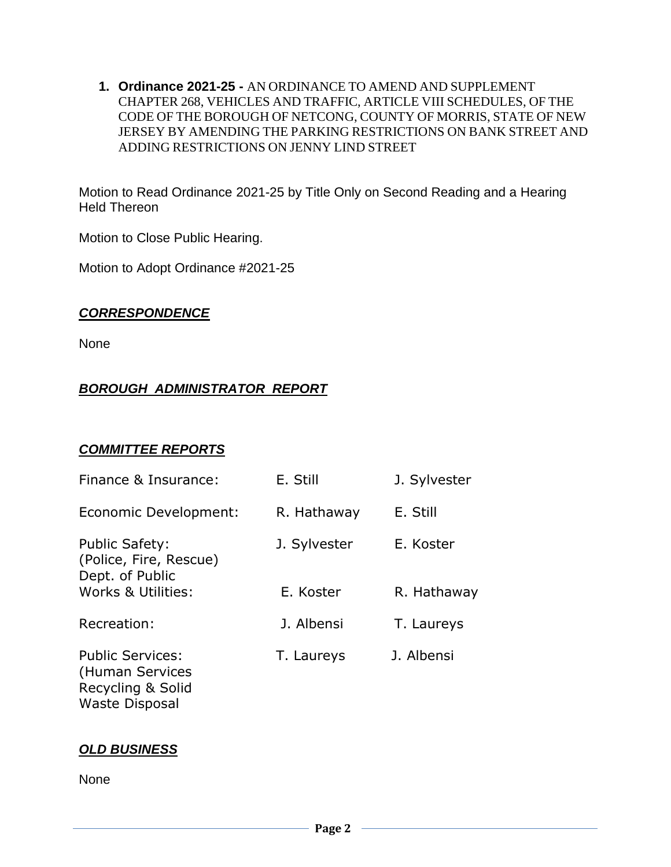**1. Ordinance 2021-25 -** AN ORDINANCE TO AMEND AND SUPPLEMENT CHAPTER 268, VEHICLES AND TRAFFIC, ARTICLE VIII SCHEDULES, OF THE CODE OF THE BOROUGH OF NETCONG, COUNTY OF MORRIS, STATE OF NEW JERSEY BY AMENDING THE PARKING RESTRICTIONS ON BANK STREET AND ADDING RESTRICTIONS ON JENNY LIND STREET

Motion to Read Ordinance 2021-25 by Title Only on Second Reading and a Hearing Held Thereon

Motion to Close Public Hearing.

Motion to Adopt Ordinance #2021-25

## *CORRESPONDENCE*

None

# *BOROUGH ADMINISTRATOR REPORT*

#### *COMMITTEE REPORTS*

| Finance & Insurance:                                                                     | E. Still     | J. Sylvester |
|------------------------------------------------------------------------------------------|--------------|--------------|
| Economic Development:                                                                    | R. Hathaway  | E. Still     |
| <b>Public Safety:</b><br>(Police, Fire, Rescue)<br>Dept. of Public                       | J. Sylvester | E. Koster    |
| Works & Utilities:                                                                       | E. Koster    | R. Hathaway  |
| Recreation:                                                                              | J. Albensi   | T. Laureys   |
| <b>Public Services:</b><br>(Human Services<br>Recycling & Solid<br><b>Waste Disposal</b> | T. Laureys   | J. Albensi   |

#### *OLD BUSINESS*

None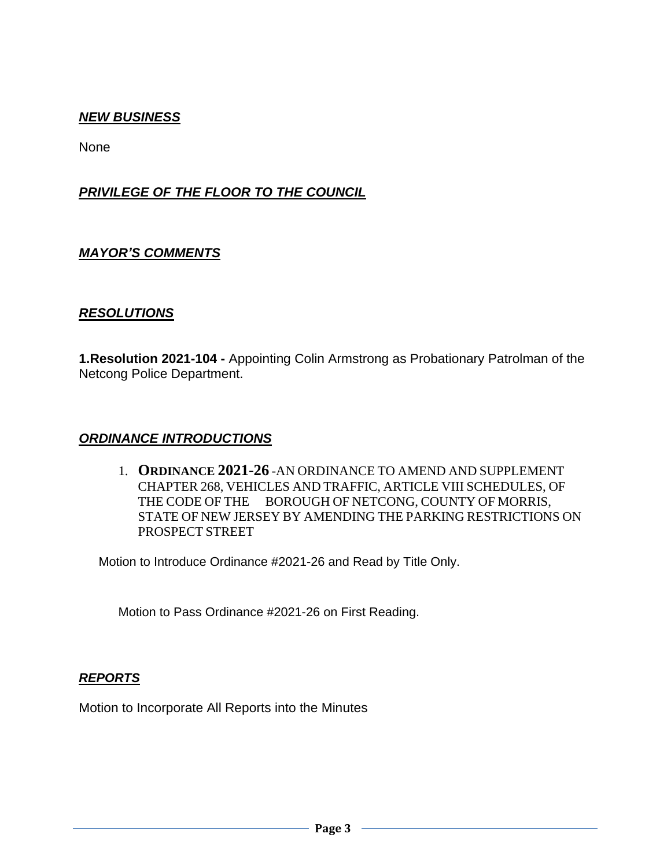# *NEW BUSINESS*

None

# *PRIVILEGE OF THE FLOOR TO THE COUNCIL*

#### *MAYOR'S COMMENTS*

#### *RESOLUTIONS*

**1.Resolution 2021-104 -** Appointing Colin Armstrong as Probationary Patrolman of the Netcong Police Department.

#### *ORDINANCE INTRODUCTIONS*

1. **ORDINANCE 2021-26** -AN ORDINANCE TO AMEND AND SUPPLEMENT CHAPTER 268, VEHICLES AND TRAFFIC, ARTICLE VIII SCHEDULES, OF THE CODE OF THE BOROUGH OF NETCONG, COUNTY OF MORRIS, STATE OF NEW JERSEY BY AMENDING THE PARKING RESTRICTIONS ON PROSPECT STREET

Motion to Introduce Ordinance #2021-26 and Read by Title Only.

Motion to Pass Ordinance #2021-26 on First Reading.

#### *REPORTS*

Motion to Incorporate All Reports into the Minutes